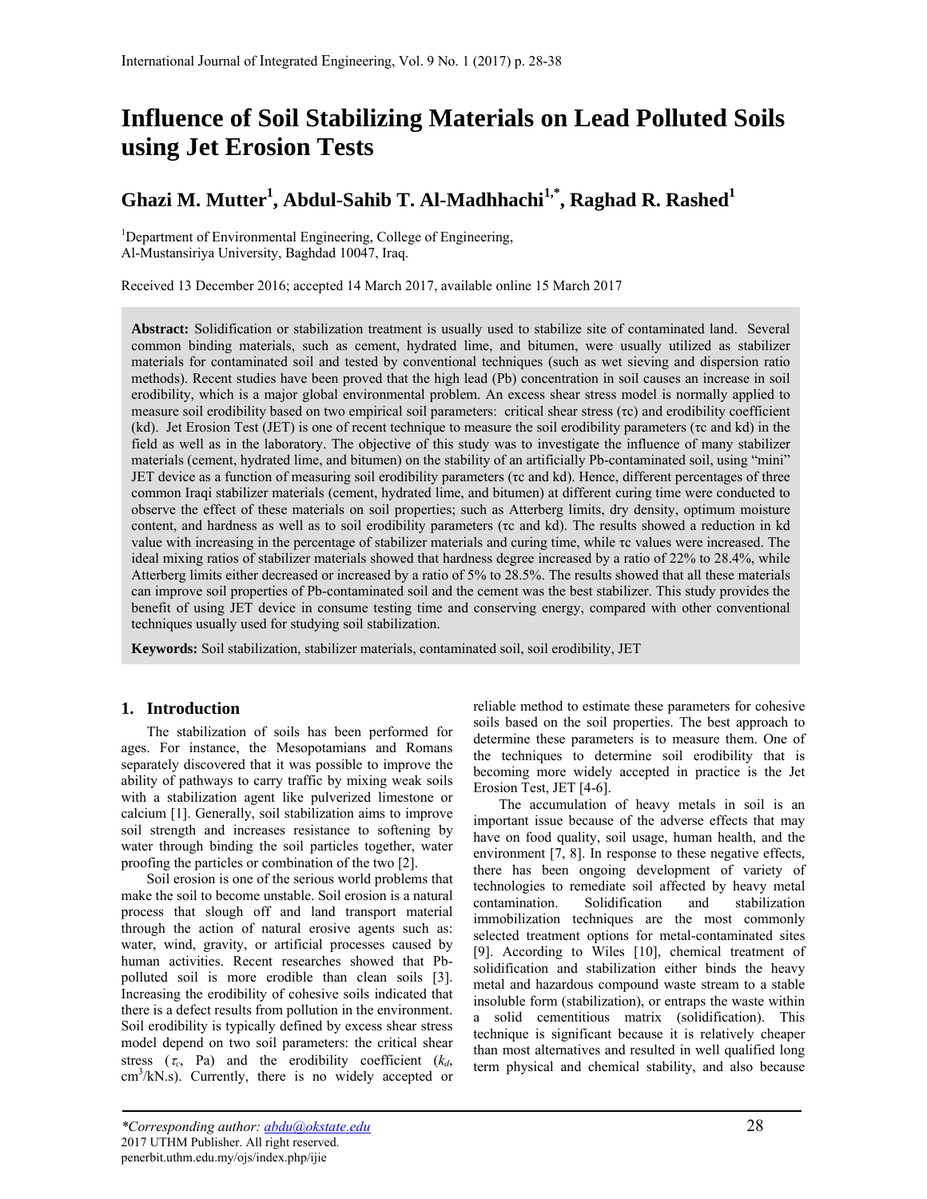# **Influence of Soil Stabilizing Materials on Lead Polluted Soils using Jet Erosion Tests**

# **Ghazi M. Mutter1 , Abdul-Sahib T. Al-Madhhachi1,\*, Raghad R. Rashed1**

<sup>1</sup>Department of Environmental Engineering, College of Engineering, Al-Mustansiriya University, Baghdad 10047, Iraq.

Received 13 December 2016; accepted 14 March 2017, available online 15 March 2017

**Abstract:** Solidification or stabilization treatment is usually used to stabilize site of contaminated land. Several common binding materials, such as cement, hydrated lime, and bitumen, were usually utilized as stabilizer materials for contaminated soil and tested by conventional techniques (such as wet sieving and dispersion ratio methods). Recent studies have been proved that the high lead (Pb) concentration in soil causes an increase in soil erodibility, which is a major global environmental problem. An excess shear stress model is normally applied to measure soil erodibility based on two empirical soil parameters: critical shear stress (τc) and erodibility coefficient (kd). Jet Erosion Test (JET) is one of recent technique to measure the soil erodibility parameters (τc and kd) in the field as well as in the laboratory. The objective of this study was to investigate the influence of many stabilizer materials (cement, hydrated lime, and bitumen) on the stability of an artificially Pb-contaminated soil, using "mini" JET device as a function of measuring soil erodibility parameters (τc and kd). Hence, different percentages of three common Iraqi stabilizer materials (cement, hydrated lime, and bitumen) at different curing time were conducted to observe the effect of these materials on soil properties; such as Atterberg limits, dry density, optimum moisture content, and hardness as well as to soil erodibility parameters (τc and kd). The results showed a reduction in kd value with increasing in the percentage of stabilizer materials and curing time, while τc values were increased. The ideal mixing ratios of stabilizer materials showed that hardness degree increased by a ratio of 22% to 28.4%, while Atterberg limits either decreased or increased by a ratio of 5% to 28.5%. The results showed that all these materials can improve soil properties of Pb-contaminated soil and the cement was the best stabilizer. This study provides the benefit of using JET device in consume testing time and conserving energy, compared with other conventional techniques usually used for studying soil stabilization.

**Keywords:** Soil stabilization, stabilizer materials, contaminated soil, soil erodibility, JET

# **1. Introduction**

The stabilization of soils has been performed for ages. For instance, the Mesopotamians and Romans separately discovered that it was possible to improve the ability of pathways to carry traffic by mixing weak soils with a stabilization agent like pulverized limestone or calcium [1]. Generally, soil stabilization aims to improve soil strength and increases resistance to softening by water through binding the soil particles together, water proofing the particles or combination of the two [2].

Soil erosion is one of the serious world problems that make the soil to become unstable. Soil erosion is a natural process that slough off and land transport material through the action of natural erosive agents such as: water, wind, gravity, or artificial processes caused by human activities. Recent researches showed that Pbpolluted soil is more erodible than clean soils [3]. Increasing the erodibility of cohesive soils indicated that there is a defect results from pollution in the environment. Soil erodibility is typically defined by excess shear stress model depend on two soil parameters: the critical shear stress  $(\tau_c, \text{ Pa})$  and the erodibility coefficient  $(k_d, \text{ A})$  $\text{cm}^3/\text{kN}$ .s). Currently, there is no widely accepted or reliable method to estimate these parameters for cohesive soils based on the soil properties. The best approach to determine these parameters is to measure them. One of the techniques to determine soil erodibility that is becoming more widely accepted in practice is the Jet Erosion Test, JET [4-6].

The accumulation of heavy metals in soil is an important issue because of the adverse effects that may have on food quality, soil usage, human health, and the environment [7, 8]. In response to these negative effects, there has been ongoing development of variety of technologies to remediate soil affected by heavy metal contamination. Solidification and stabilization immobilization techniques are the most commonly selected treatment options for metal-contaminated sites [9]. According to Wiles [10], chemical treatment of solidification and stabilization either binds the heavy metal and hazardous compound waste stream to a stable insoluble form (stabilization), or entraps the waste within a solid cementitious matrix (solidification). This technique is significant because it is relatively cheaper than most alternatives and resulted in well qualified long term physical and chemical stability, and also because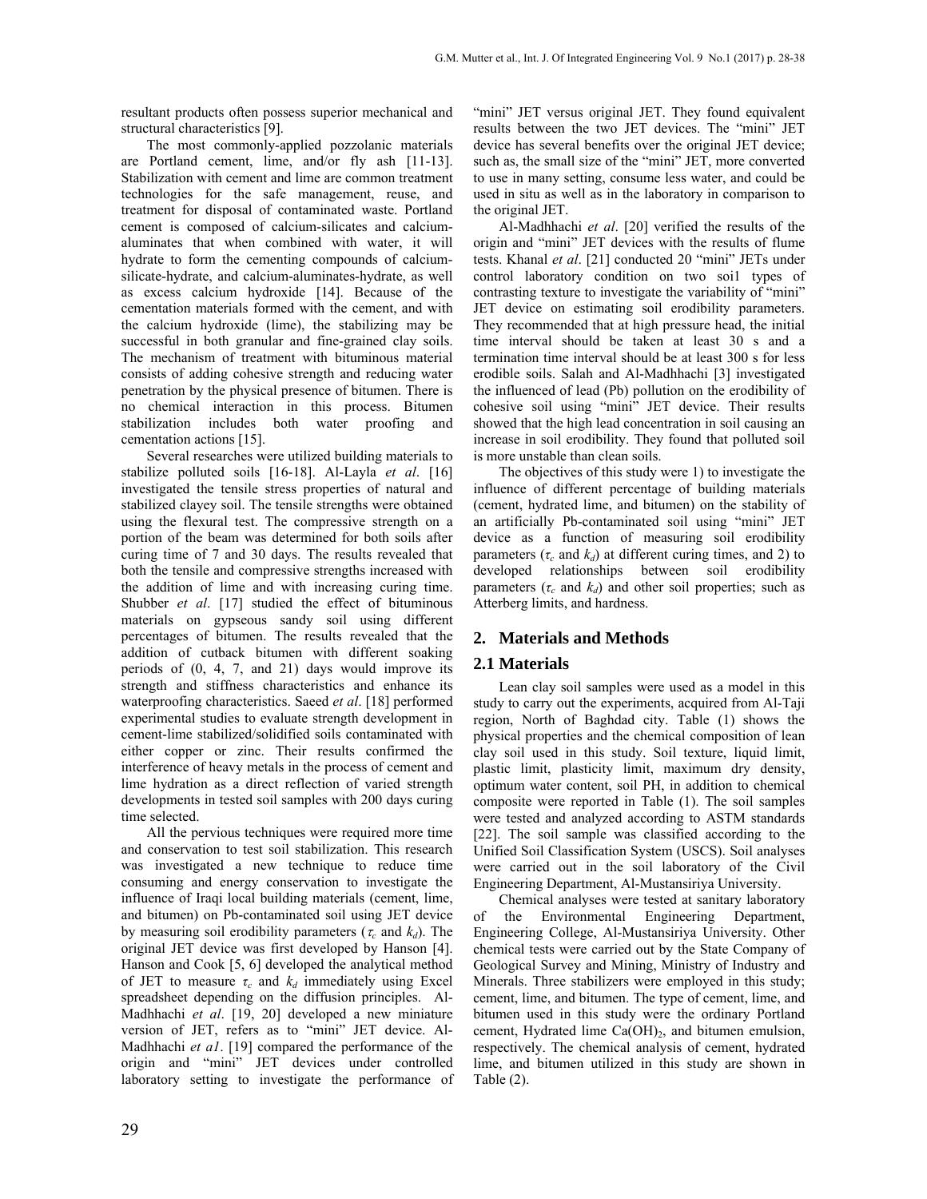resultant products often possess superior mechanical and structural characteristics [9].

The most commonly-applied pozzolanic materials are Portland cement, lime, and/or fly ash [11-13]. Stabilization with cement and lime are common treatment technologies for the safe management, reuse, and treatment for disposal of contaminated waste. Portland cement is composed of calcium-silicates and calciumaluminates that when combined with water, it will hydrate to form the cementing compounds of calciumsilicate-hydrate, and calcium-aluminates-hydrate, as well as excess calcium hydroxide [14]. Because of the cementation materials formed with the cement, and with the calcium hydroxide (lime), the stabilizing may be successful in both granular and fine-grained clay soils. The mechanism of treatment with bituminous material consists of adding cohesive strength and reducing water penetration by the physical presence of bitumen. There is no chemical interaction in this process. Bitumen stabilization includes both water proofing and cementation actions [15].

Several researches were utilized building materials to stabilize polluted soils [16-18]. Al-Layla *et al*. [16] investigated the tensile stress properties of natural and stabilized clayey soil. The tensile strengths were obtained using the flexural test. The compressive strength on a portion of the beam was determined for both soils after curing time of 7 and 30 days. The results revealed that both the tensile and compressive strengths increased with the addition of lime and with increasing curing time. Shubber *et al*. [17] studied the effect of bituminous materials on gypseous sandy soil using different percentages of bitumen. The results revealed that the addition of cutback bitumen with different soaking periods of (0, 4, 7, and 21) days would improve its strength and stiffness characteristics and enhance its waterproofing characteristics. Saeed *et al*. [18] performed experimental studies to evaluate strength development in cement-lime stabilized/solidified soils contaminated with either copper or zinc. Their results confirmed the interference of heavy metals in the process of cement and lime hydration as a direct reflection of varied strength developments in tested soil samples with 200 days curing time selected.

All the pervious techniques were required more time and conservation to test soil stabilization. This research was investigated a new technique to reduce time consuming and energy conservation to investigate the influence of Iraqi local building materials (cement, lime, and bitumen) on Pb-contaminated soil using JET device by measuring soil erodibility parameters ( $\tau_c$  and  $k_d$ ). The original JET device was first developed by Hanson [4]. Hanson and Cook [5, 6] developed the analytical method of JET to measure  $\tau_c$  and  $k_d$  immediately using Excel spreadsheet depending on the diffusion principles. Al-Madhhachi *et al*. [19, 20] developed a new miniature version of JET, refers as to "mini" JET device. Al-Madhhachi *et a1*. [19] compared the performance of the origin and "mini" JET devices under controlled laboratory setting to investigate the performance of "mini" JET versus original JET. They found equivalent results between the two JET devices. The "mini" JET device has several benefits over the original JET device; such as, the small size of the "mini" JET, more converted to use in many setting, consume less water, and could be used in situ as well as in the laboratory in comparison to the original JET.

Al-Madhhachi *et al*. [20] verified the results of the origin and "mini" JET devices with the results of flume tests. Khanal *et al*. [21] conducted 20 "mini" JETs under control laboratory condition on two soi1 types of contrasting texture to investigate the variability of "mini" JET device on estimating soil erodibility parameters. They recommended that at high pressure head, the initial time interval should be taken at least 30 s and a termination time interval should be at least 300 s for less erodible soils. Salah and Al-Madhhachi [3] investigated the influenced of lead (Pb) pollution on the erodibility of cohesive soil using "mini" JET device. Their results showed that the high lead concentration in soil causing an increase in soil erodibility. They found that polluted soil is more unstable than clean soils.

The objectives of this study were 1) to investigate the influence of different percentage of building materials (cement, hydrated lime, and bitumen) on the stability of an artificially Pb-contaminated soil using "mini" JET device as a function of measuring soil erodibility parameters  $(\tau_c$  and  $k_d$ ) at different curing times, and 2) to developed relationships between soil erodibility parameters  $(\tau_c$  and  $k_d$ ) and other soil properties; such as Atterberg limits, and hardness.

#### **2. Materials and Methods**

#### **2.1 Materials**

Lean clay soil samples were used as a model in this study to carry out the experiments, acquired from Al-Taji region, North of Baghdad city. Table (1) shows the physical properties and the chemical composition of lean clay soil used in this study. Soil texture, liquid limit, plastic limit, plasticity limit, maximum dry density, optimum water content, soil PH, in addition to chemical composite were reported in Table (1). The soil samples were tested and analyzed according to ASTM standards [22]. The soil sample was classified according to the Unified Soil Classification System (USCS). Soil analyses were carried out in the soil laboratory of the Civil Engineering Department, Al-Mustansiriya University.

Chemical analyses were tested at sanitary laboratory of the Environmental Engineering Department, Engineering College, Al-Mustansiriya University. Other chemical tests were carried out by the State Company of Geological Survey and Mining, Ministry of Industry and Minerals. Three stabilizers were employed in this study; cement, lime, and bitumen. The type of cement, lime, and bitumen used in this study were the ordinary Portland cement, Hydrated lime  $Ca(OH)_{2}$ , and bitumen emulsion, respectively. The chemical analysis of cement, hydrated lime, and bitumen utilized in this study are shown in Table (2).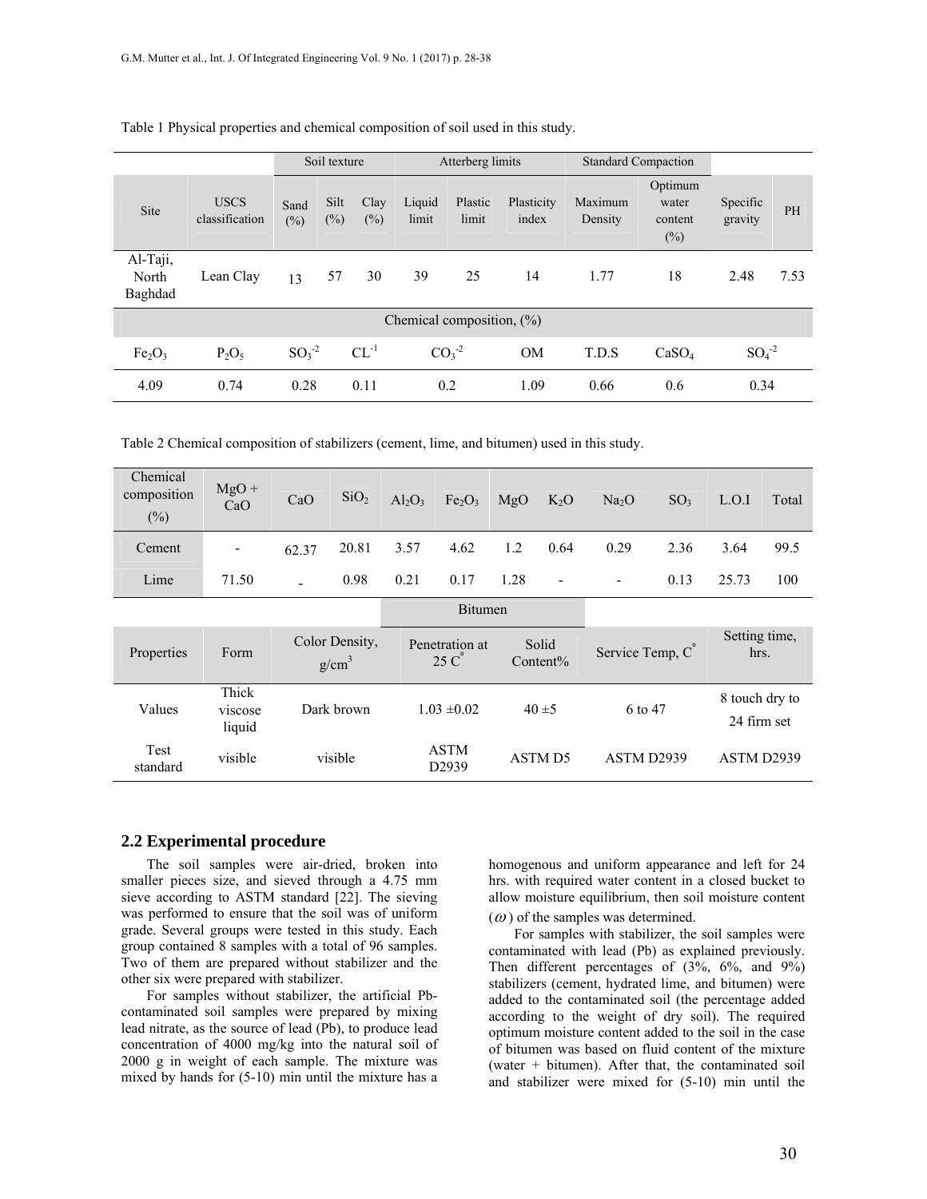|                                |                               | Soil texture   |                |                | Atterberg limits |                  |                     |                    | <b>Standard Compaction</b>            |                     |           |
|--------------------------------|-------------------------------|----------------|----------------|----------------|------------------|------------------|---------------------|--------------------|---------------------------------------|---------------------|-----------|
| <b>Site</b>                    | <b>USCS</b><br>classification | Sand<br>$(\%)$ | Silt<br>$(\%)$ | Clay<br>$(\%)$ | Liquid<br>limit  | Plastic<br>limit | Plasticity<br>index | Maximum<br>Density | Optimum<br>water<br>content<br>$(\%)$ | Specific<br>gravity | <b>PH</b> |
| Al-Taji,<br>North<br>Baghdad   | Lean Clay                     | 13             | 57             | 30             | 39               | 25               | 14                  | 1.77               | 18                                    | 2.48                | 7.53      |
| Chemical composition, $(\% )$  |                               |                |                |                |                  |                  |                     |                    |                                       |                     |           |
| Fe <sub>2</sub> O <sub>3</sub> | $P_2O_5$                      | $SO3-2$        |                | $CL^{-1}$      |                  | $CO3-2$          | <b>OM</b>           | T.D.S              | CaSO <sub>4</sub>                     | $SO4-2$             |           |
| 4.09                           | 0.74                          | 0.28           |                | 0.11           |                  | 0.2              | 1.09                | 0.66               | 0.6                                   | 0.34                |           |

Table 1 Physical properties and chemical composition of soil used in this study.

Table 2 Chemical composition of stabilizers (cement, lime, and bitumen) used in this study.

| Chemical<br>composition<br>$(\%)$ | $MgO +$<br>CaO             | CaO   | SiO <sub>2</sub>                    | $Al_2O_3$ | Fe <sub>2</sub> O <sub>3</sub>     | MgO  | $K_2O$               | Na <sub>2</sub> O      | SO <sub>3</sub> | L.O.I                         | Total |
|-----------------------------------|----------------------------|-------|-------------------------------------|-----------|------------------------------------|------|----------------------|------------------------|-----------------|-------------------------------|-------|
| Cement                            |                            | 62.37 | 20.81                               | 3.57      | 4.62                               | 1.2  | 0.64                 | 0.29                   | 2.36            | 3.64                          | 99.5  |
| Lime                              | 71.50                      |       | 0.98                                | 0.21      | 0.17                               | 1.28 | -                    |                        | 0.13            | 25.73                         | 100   |
|                                   |                            |       |                                     |           | <b>Bitumen</b>                     |      |                      |                        |                 |                               |       |
| Properties                        | Form                       |       | Color Density,<br>g/cm <sup>3</sup> |           | Penetration at<br>$25\,\mathrm{C}$ |      | Solid<br>$Content\%$ | Service Temp, C        |                 | Setting time,<br>hrs.         |       |
| Values                            | Thick<br>viscose<br>liquid |       | Dark brown                          |           | $1.03 \pm 0.02$                    |      | $40 \pm 5$           | 6 to 47                |                 | 8 touch dry to<br>24 firm set |       |
| <b>Test</b><br>standard           | visible                    |       | visible                             |           | <b>ASTM</b><br>D <sub>2939</sub>   |      | <b>ASTM D5</b>       | ASTM D <sub>2939</sub> |                 | ASTM D2939                    |       |

# **2.2 Experimental procedure**

The soil samples were air-dried, broken into smaller pieces size, and sieved through a 4.75 mm sieve according to ASTM standard [22]. The sieving was performed to ensure that the soil was of uniform grade. Several groups were tested in this study. Each group contained 8 samples with a total of 96 samples. Two of them are prepared without stabilizer and the other six were prepared with stabilizer.

For samples without stabilizer, the artificial Pbcontaminated soil samples were prepared by mixing lead nitrate, as the source of lead (Pb), to produce lead concentration of 4000 mg/kg into the natural soil of 2000 g in weight of each sample. The mixture was mixed by hands for (5-10) min until the mixture has a homogenous and uniform appearance and left for 24 hrs. with required water content in a closed bucket to allow moisture equilibrium, then soil moisture content

 $(\omega)$  of the samples was determined.

For samples with stabilizer, the soil samples were contaminated with lead (Pb) as explained previously. Then different percentages of (3%, 6%, and 9%) stabilizers (cement, hydrated lime, and bitumen) were added to the contaminated soil (the percentage added according to the weight of dry soil). The required optimum moisture content added to the soil in the case of bitumen was based on fluid content of the mixture (water + bitumen). After that, the contaminated soil and stabilizer were mixed for (5-10) min until the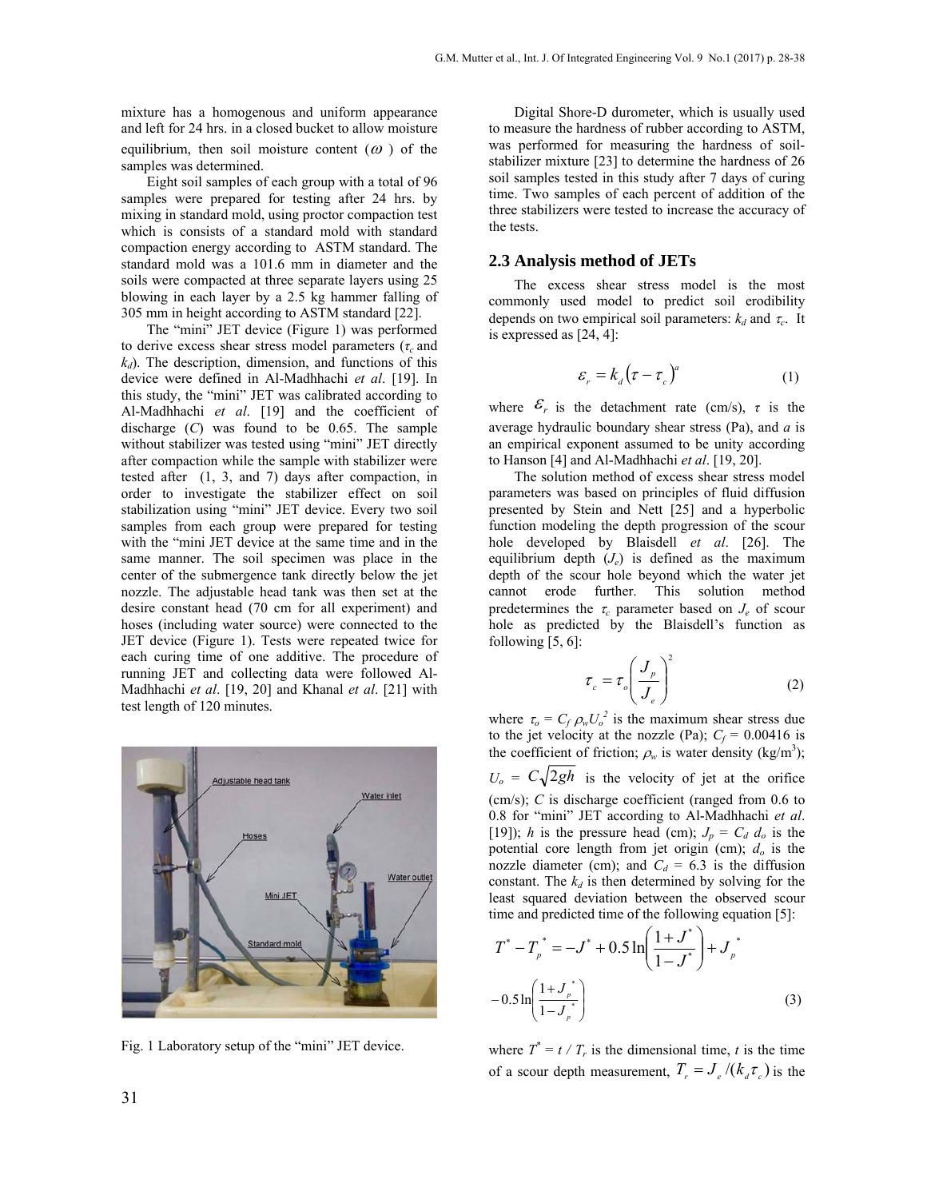mixture has a homogenous and uniform appearance and left for 24 hrs. in a closed bucket to allow moisture equilibrium, then soil moisture content  $(\omega)$  of the samples was determined.

Eight soil samples of each group with a total of 96 samples were prepared for testing after 24 hrs. by mixing in standard mold, using proctor compaction test which is consists of a standard mold with standard compaction energy according to ASTM standard. The standard mold was a 101.6 mm in diameter and the soils were compacted at three separate layers using 25 blowing in each layer by a 2.5 kg hammer falling of 305 mm in height according to ASTM standard [22].

The "mini" JET device (Figure 1) was performed to derive excess shear stress model parameters (*τ<sup>c</sup>* and  $k_d$ ). The description, dimension, and functions of this device were defined in Al-Madhhachi *et al*. [19]. In this study, the "mini" JET was calibrated according to Al-Madhhachi *et al*. [19] and the coefficient of discharge (*C*) was found to be 0.65. The sample without stabilizer was tested using "mini" JET directly after compaction while the sample with stabilizer were tested after (1, 3, and 7) days after compaction, in order to investigate the stabilizer effect on soil stabilization using "mini" JET device. Every two soil samples from each group were prepared for testing with the "mini JET device at the same time and in the same manner. The soil specimen was place in the center of the submergence tank directly below the jet nozzle. The adjustable head tank was then set at the desire constant head (70 cm for all experiment) and hoses (including water source) were connected to the JET device (Figure 1). Tests were repeated twice for each curing time of one additive. The procedure of running JET and collecting data were followed Al-Madhhachi *et al*. [19, 20] and Khanal *et al*. [21] with test length of 120 minutes.



Fig. 1 Laboratory setup of the "mini" JET device.

Digital Shore-D durometer, which is usually used to measure the hardness of rubber according to ASTM, was performed for measuring the hardness of soilstabilizer mixture [23] to determine the hardness of 26 soil samples tested in this study after 7 days of curing time. Two samples of each percent of addition of the three stabilizers were tested to increase the accuracy of the tests.

#### **2.3 Analysis method of JETs**

The excess shear stress model is the most commonly used model to predict soil erodibility depends on two empirical soil parameters:  $k_d$  and  $\tau_c$ . It is expressed as [24, 4]:

$$
\varepsilon_r = k_d \left(\tau - \tau_c\right)^a \tag{1}
$$

where  $\mathcal{E}_r$  is the detachment rate (cm/s),  $\tau$  is the average hydraulic boundary shear stress (Pa), and *a* is an empirical exponent assumed to be unity according to Hanson [4] and Al-Madhhachi *et al*. [19, 20].

The solution method of excess shear stress model parameters was based on principles of fluid diffusion presented by Stein and Nett [25] and a hyperbolic function modeling the depth progression of the scour hole developed by Blaisdell *et al*. [26]. The equilibrium depth (*Je*) is defined as the maximum depth of the scour hole beyond which the water jet cannot erode further. This solution method predetermines the  $\tau_c$  parameter based on  $J_e$  of scour hole as predicted by the Blaisdell's function as following  $[5, 6]$ :

$$
\tau_c = \tau_o \left(\frac{J_p}{J_e}\right)^2 \tag{2}
$$

where  $\tau_o = C_f \rho_w U_o^2$  is the maximum shear stress due to the jet velocity at the nozzle (Pa);  $C_f = 0.00416$  is the coefficient of friction;  $\rho_w$  is water density (kg/m<sup>3</sup>);  $U_o = C \sqrt{2gh}$  is the velocity of jet at the orifice (cm/s); *C* is discharge coefficient (ranged from 0.6 to 0.8 for "mini" JET according to Al-Madhhachi *et al*. [19]); *h* is the pressure head (cm);  $J_p = C_d d_o$  is the potential core length from jet origin (cm); *do* is the nozzle diameter (cm); and  $C_d = 6.3$  is the diffusion constant. The  $k_d$  is then determined by solving for the least squared deviation between the observed scour time and predicted time of the following equation [5]:

$$
T^* - T_p^* = -J^* + 0.5 \ln\left(\frac{1+J^*}{1-J^*}\right) + J_p^*
$$
  
- 0.5  $\ln\left(\frac{1+J_p^*}{1-J_p^*}\right)$  (3)

 $\lambda$ 

where  $T^* = t / T_r$  is the dimensional time, *t* is the time of a scour depth measurement,  $T_r = J_c/(k_a \tau_c)$  is the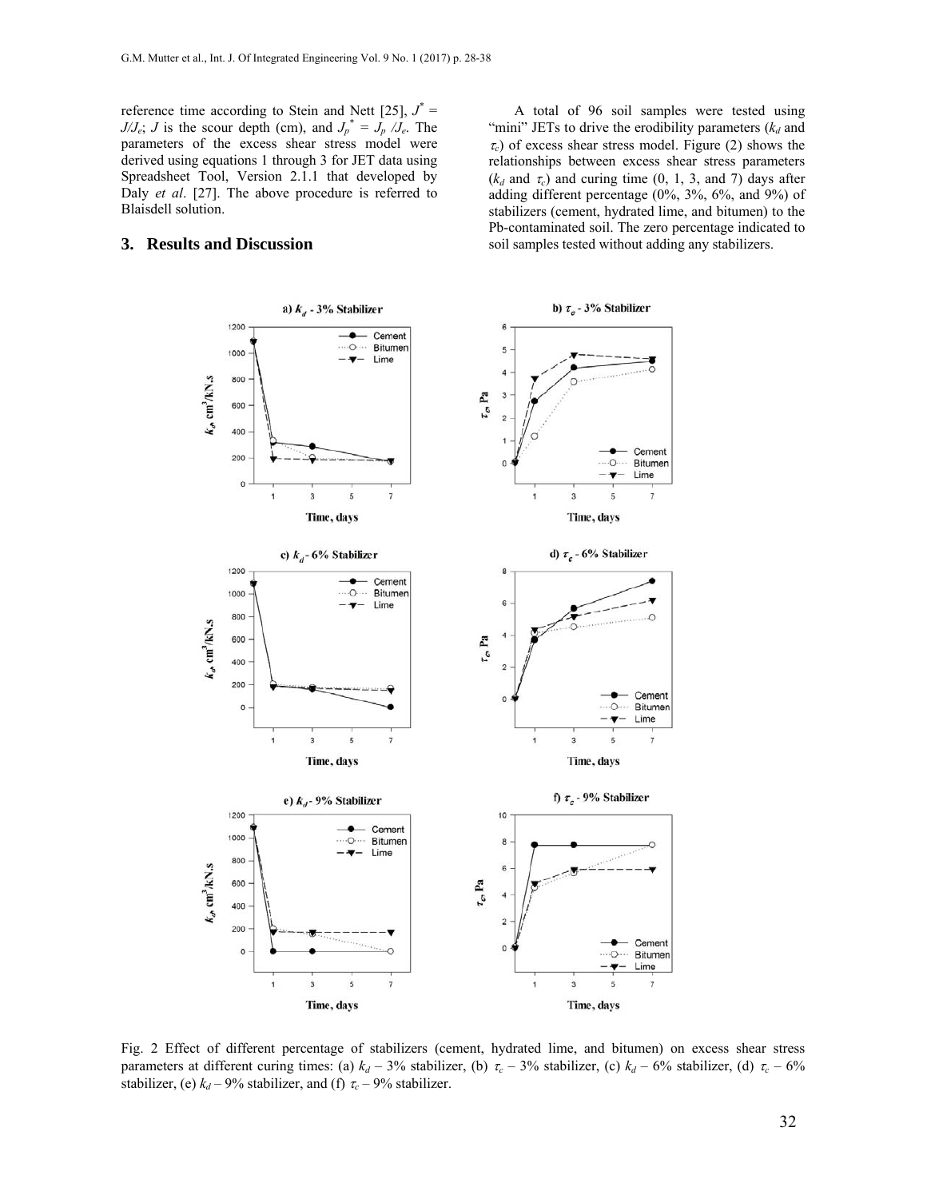reference time according to Stein and Nett [25],  $J^* =$ *J/J<sub>e</sub>*; *J* is the scour depth (cm), and  $J_p^* = J_p / J_e$ . The parameters of the excess shear stress model were derived using equations 1 through 3 for JET data using Spreadsheet Tool, Version 2.1.1 that developed by Daly *et al*. [27]. The above procedure is referred to Blaisdell solution.

### **3. Results and Discussion**

A total of 96 soil samples were tested using "mini" JETs to drive the erodibility parameters  $(k_d$  and  $\tau_c$ ) of excess shear stress model. Figure (2) shows the relationships between excess shear stress parameters  $(k_d$  and  $\tau_c$ ) and curing time  $(0, 1, 3,$  and  $7)$  days after adding different percentage (0%, 3%, 6%, and 9%) of stabilizers (cement, hydrated lime, and bitumen) to the Pb-contaminated soil. The zero percentage indicated to soil samples tested without adding any stabilizers.



Fig. 2 Effect of different percentage of stabilizers (cement, hydrated lime, and bitumen) on excess shear stress parameters at different curing times: (a)  $k_d - 3\%$  stabilizer, (b)  $\tau_c - 3\%$  stabilizer, (c)  $k_d - 6\%$  stabilizer, (d)  $\tau_c - 6\%$ stabilizer, (e)  $k_d$  – 9% stabilizer, and (f)  $\tau_c$  – 9% stabilizer.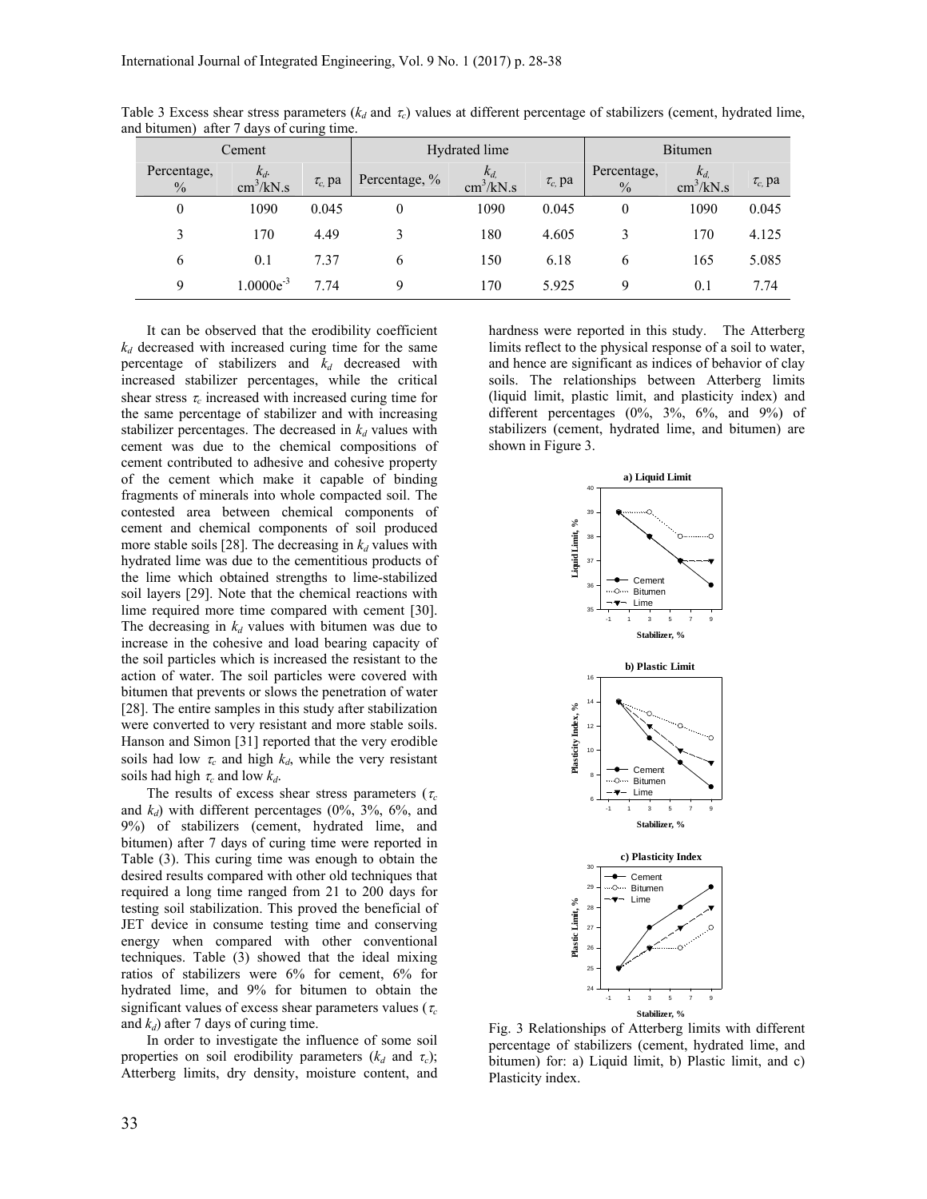|                     | Cement                              |             |                  | Hydrated lime                       | <b>Bitumen</b> |                              |                                     |             |
|---------------------|-------------------------------------|-------------|------------------|-------------------------------------|----------------|------------------------------|-------------------------------------|-------------|
| Percentage,<br>$\%$ | $k_d$<br>$\text{cm}^3/\text{kN}$ .s | $\tau_c$ pa | Percentage, %    | $k_d$<br>$\text{cm}^3/\text{kN}$ .s | $\tau_c$ pa    | Percentage,<br>$\frac{0}{0}$ | $k_d$<br>$\text{cm}^3/\text{kN}$ .s | $\tau_c$ pa |
| $\boldsymbol{0}$    | 1090                                | 0.045       | $\boldsymbol{0}$ | 1090                                | 0.045          | 0                            | 1090                                | 0.045       |
| 3                   | 170                                 | 4.49        | 3                | 180                                 | 4.605          | 3                            | 170                                 | 4.125       |
| 6                   | 0.1                                 | 7.37        | 6                | 150                                 | 6.18           | 6                            | 165                                 | 5.085       |
| $\mathbf Q$         | $1.0000e^{-3}$                      | 7.74        | 9                | 170                                 | 5.925          | 9                            | 0.1                                 | 7.74        |

Table 3 Excess shear stress parameters ( $k_d$  and  $\tau_c$ ) values at different percentage of stabilizers (cement, hydrated lime, and bitumen) after 7 days of curing time.

It can be observed that the erodibility coefficient  $k_d$  decreased with increased curing time for the same percentage of stabilizers and  $k_d$  decreased with increased stabilizer percentages, while the critical shear stress  $\tau_c$  increased with increased curing time for the same percentage of stabilizer and with increasing stabilizer percentages. The decreased in  $k_d$  values with cement was due to the chemical compositions of cement contributed to adhesive and cohesive property of the cement which make it capable of binding fragments of minerals into whole compacted soil. The contested area between chemical components of cement and chemical components of soil produced more stable soils [28]. The decreasing in  $k_d$  values with hydrated lime was due to the cementitious products of the lime which obtained strengths to lime-stabilized soil layers [29]. Note that the chemical reactions with lime required more time compared with cement [30]. The decreasing in  $k_d$  values with bitumen was due to increase in the cohesive and load bearing capacity of the soil particles which is increased the resistant to the action of water. The soil particles were covered with bitumen that prevents or slows the penetration of water [28]. The entire samples in this study after stabilization were converted to very resistant and more stable soils. Hanson and Simon [31] reported that the very erodible soils had low  $\tau_c$  and high  $k_d$ , while the very resistant soils had high  $\tau_c$  and low  $k_d$ .

The results of excess shear stress parameters ( $\tau_c$ ) and  $k_d$ ) with different percentages (0%, 3%, 6%, and 9%) of stabilizers (cement, hydrated lime, and bitumen) after 7 days of curing time were reported in Table (3). This curing time was enough to obtain the desired results compared with other old techniques that required a long time ranged from 21 to 200 days for testing soil stabilization. This proved the beneficial of JET device in consume testing time and conserving energy when compared with other conventional techniques. Table (3) showed that the ideal mixing ratios of stabilizers were 6% for cement, 6% for hydrated lime, and 9% for bitumen to obtain the significant values of excess shear parameters values ( $\tau_c$ and  $k_d$ ) after 7 days of curing time.

In order to investigate the influence of some soil properties on soil erodibility parameters  $(k_d$  and  $\tau_c)$ ; Atterberg limits, dry density, moisture content, and hardness were reported in this study. The Atterberg limits reflect to the physical response of a soil to water, and hence are significant as indices of behavior of clay soils. The relationships between Atterberg limits (liquid limit, plastic limit, and plasticity index) and different percentages  $(0\%, 3\%, 6\%, \text{ and } 9\%)$  of stabilizers (cement, hydrated lime, and bitumen) are shown in Figure 3.



Fig. 3 Relationships of Atterberg limits with different percentage of stabilizers (cement, hydrated lime, and bitumen) for: a) Liquid limit, b) Plastic limit, and c) Plasticity index.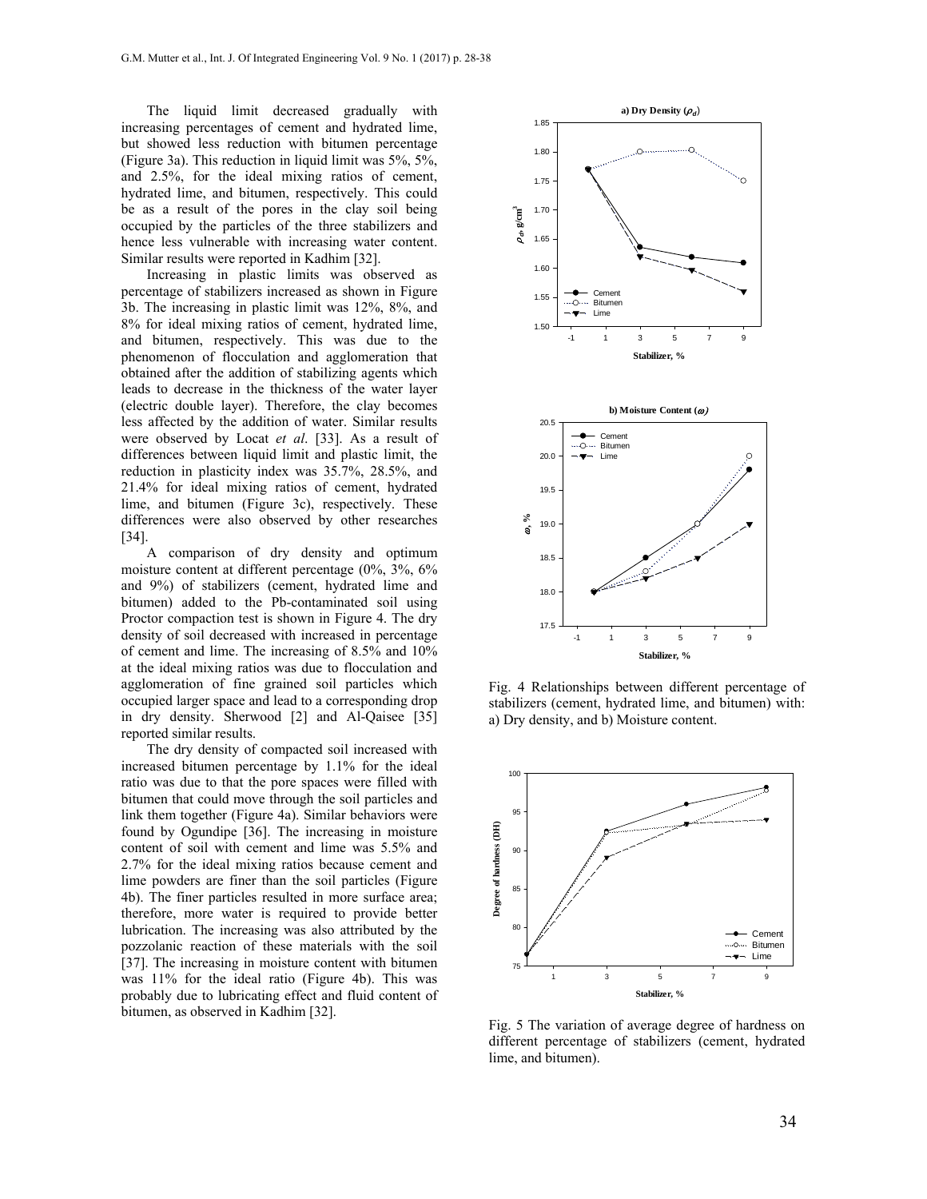The liquid limit decreased gradually with increasing percentages of cement and hydrated lime, but showed less reduction with bitumen percentage (Figure 3a). This reduction in liquid limit was 5%, 5%, and 2.5%, for the ideal mixing ratios of cement, hydrated lime, and bitumen, respectively. This could be as a result of the pores in the clay soil being occupied by the particles of the three stabilizers and hence less vulnerable with increasing water content. Similar results were reported in Kadhim [32].

Increasing in plastic limits was observed as percentage of stabilizers increased as shown in Figure 3b. The increasing in plastic limit was 12%, 8%, and 8% for ideal mixing ratios of cement, hydrated lime, and bitumen, respectively. This was due to the phenomenon of flocculation and agglomeration that obtained after the addition of stabilizing agents which leads to decrease in the thickness of the water layer (electric double layer). Therefore, the clay becomes less affected by the addition of water. Similar results were observed by Locat *et al*. [33]. As a result of differences between liquid limit and plastic limit, the reduction in plasticity index was 35.7%, 28.5%, and 21.4% for ideal mixing ratios of cement, hydrated lime, and bitumen (Figure 3c), respectively. These differences were also observed by other researches [34].

A comparison of dry density and optimum moisture content at different percentage (0%, 3%, 6% and 9%) of stabilizers (cement, hydrated lime and bitumen) added to the Pb-contaminated soil using Proctor compaction test is shown in Figure 4. The dry density of soil decreased with increased in percentage of cement and lime. The increasing of 8.5% and 10% at the ideal mixing ratios was due to flocculation and agglomeration of fine grained soil particles which occupied larger space and lead to a corresponding drop in dry density. Sherwood [2] and Al-Qaisee [35] reported similar results.

The dry density of compacted soil increased with increased bitumen percentage by 1.1% for the ideal ratio was due to that the pore spaces were filled with bitumen that could move through the soil particles and link them together (Figure 4a). Similar behaviors were found by Ogundipe [36]. The increasing in moisture content of soil with cement and lime was 5.5% and 2.7% for the ideal mixing ratios because cement and lime powders are finer than the soil particles (Figure 4b). The finer particles resulted in more surface area; therefore, more water is required to provide better lubrication. The increasing was also attributed by the pozzolanic reaction of these materials with the soil [37]. The increasing in moisture content with bitumen was 11% for the ideal ratio (Figure 4b). This was probably due to lubricating effect and fluid content of bitumen, as observed in Kadhim [32].



Fig. 4 Relationships between different percentage of stabilizers (cement, hydrated lime, and bitumen) with: a) Dry density, and b) Moisture content.



Fig. 5 The variation of average degree of hardness on different percentage of stabilizers (cement, hydrated lime, and bitumen).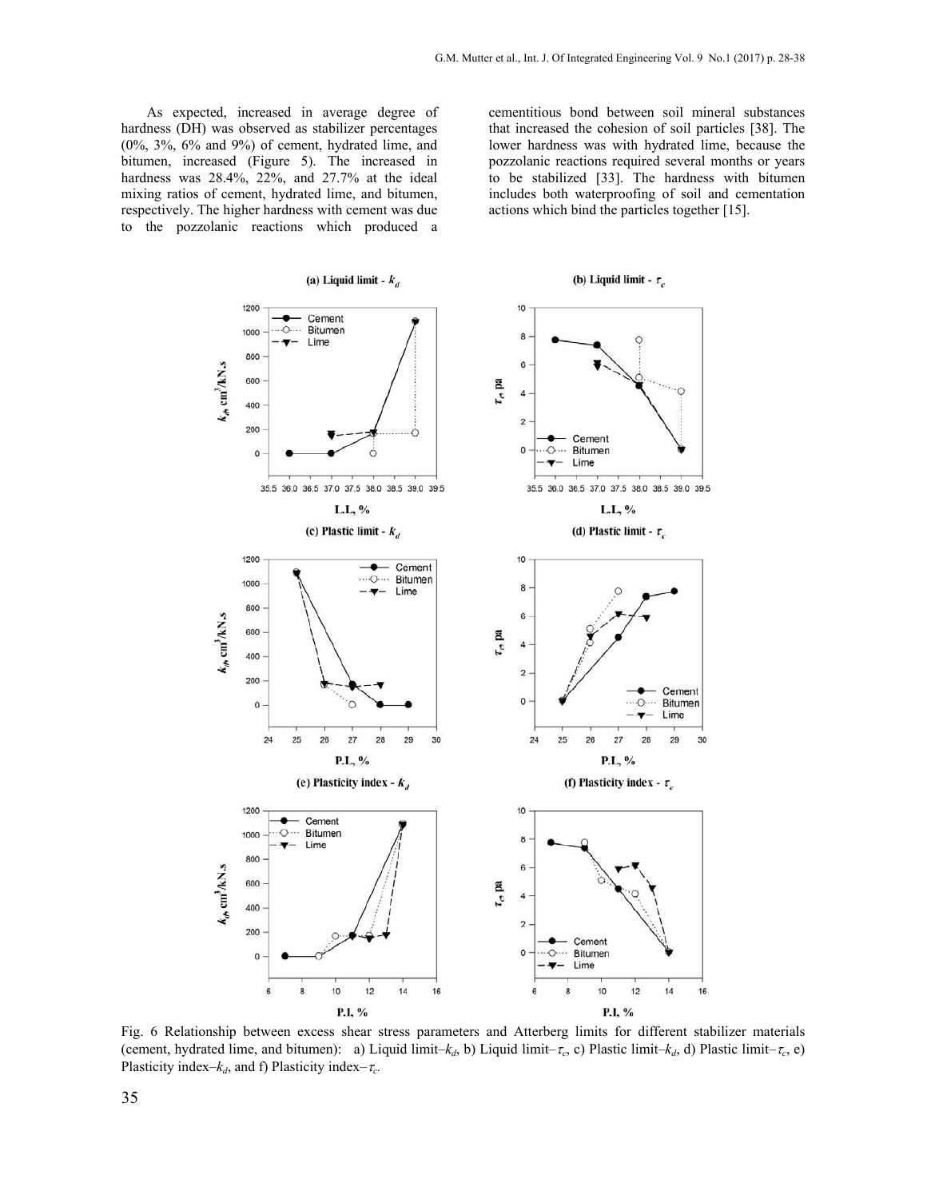As expected, increased in average degree of hardness (DH) was observed as stabilizer percentages (0%, 3%, 6% and 9%) of cement, hydrated lime, and bitumen, increased (Figure 5). The increased in hardness was 28.4%, 22%, and 27.7% at the ideal mixing ratios of cement, hydrated lime, and bitumen, respectively. The higher hardness with cement was due to the pozzolanic reactions which produced a

cementitious bond between soil mineral substances that increased the cohesion of soil particles [38]. The lower hardness was with hydrated lime, because the pozzolanic reactions required several months or years to be stabilized [33]. The hardness with bitumen includes both waterproofing of soil and cementation actions which bind the particles together [15].



Fig. 6 Relationship between excess shear stress parameters and Atterberg limits for different stabilizer materials (cement, hydrated lime, and bitumen): a) Liquid limit–*k<sub>d</sub>*, b) Liquid limit–*t<sub>c</sub>*, c) Plastic limit–*k<sub>d</sub>*, d) Plastic limit–*t<sub>c</sub>*, e) Plasticity index– $k_d$ , and f) Plasticity index– $\tau_c$ .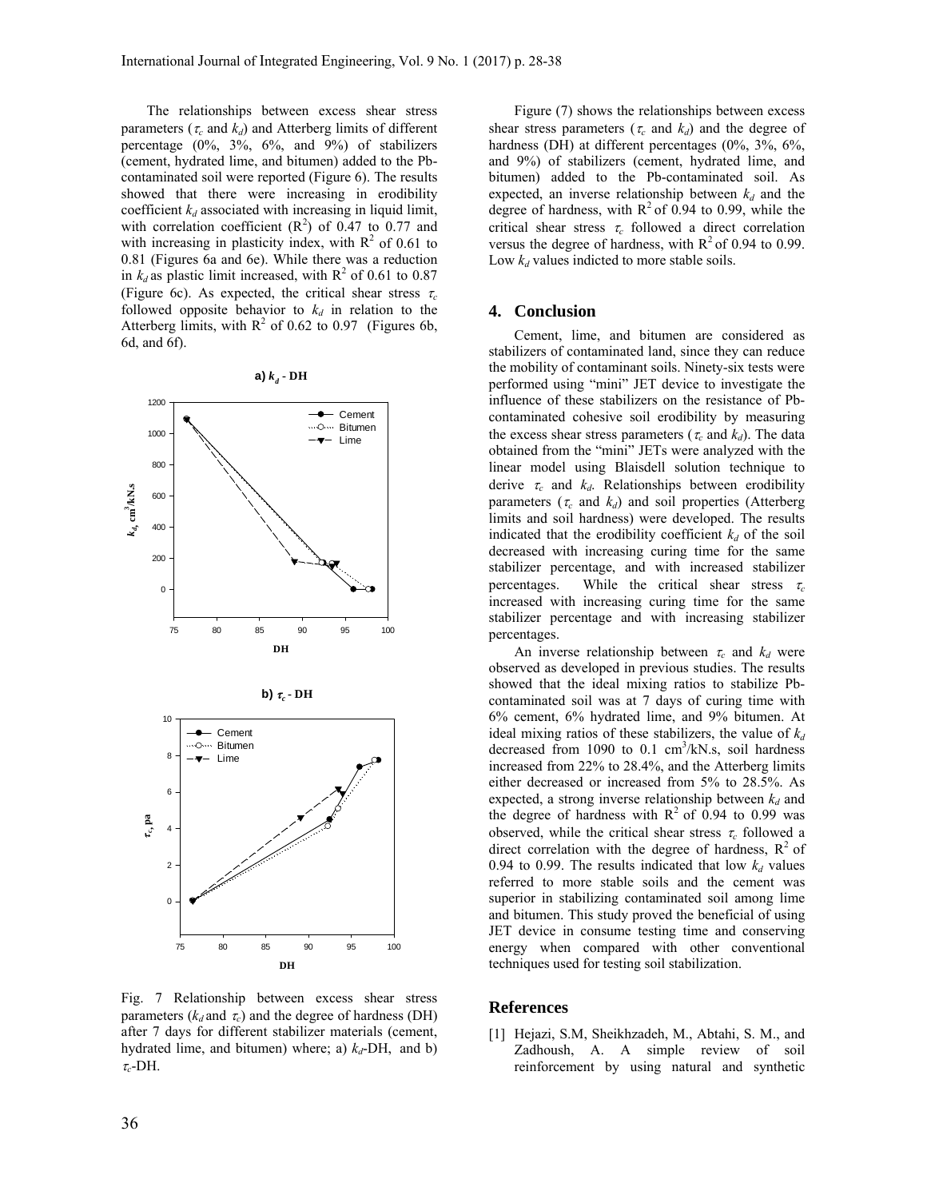The relationships between excess shear stress parameters ( $\tau_c$  and  $k_d$ ) and Atterberg limits of different percentage  $(0\%, 3\%, 6\%, \text{ and } 9\%)$  of stabilizers (cement, hydrated lime, and bitumen) added to the Pbcontaminated soil were reported (Figure 6). The results showed that there were increasing in erodibility coefficient  $k_d$  associated with increasing in liquid limit, with correlation coefficient  $(R^2)$  of 0.47 to 0.77 and with increasing in plasticity index, with  $R^2$  of 0.61 to 0.81 (Figures 6a and 6e). While there was a reduction in  $k_d$  as plastic limit increased, with  $R^2$  of 0.61 to 0.87 (Figure 6c). As expected, the critical shear stress  $\tau_c$ followed opposite behavior to  $k_d$  in relation to the Atterberg limits, with  $R^2$  of 0.62 to 0.97 (Figures 6b, 6d, and 6f).



**a**)  $k_a$  **- DH** 

Figure (7) shows the relationships between excess shear stress parameters ( $\tau_c$  and  $k_d$ ) and the degree of hardness (DH) at different percentages (0%, 3%, 6%, and 9%) of stabilizers (cement, hydrated lime, and bitumen) added to the Pb-contaminated soil. As expected, an inverse relationship between  $k_d$  and the degree of hardness, with  $R^2$  of 0.94 to 0.99, while the critical shear stress  $\tau_c$  followed a direct correlation versus the degree of hardness, with  $R^2$  of 0.94 to 0.99. Low  $k_d$  values indicted to more stable soils.

## **4. Conclusion**

Cement, lime, and bitumen are considered as stabilizers of contaminated land, since they can reduce the mobility of contaminant soils. Ninety-six tests were performed using "mini" JET device to investigate the influence of these stabilizers on the resistance of Pbcontaminated cohesive soil erodibility by measuring the excess shear stress parameters ( $\tau_c$  and  $k_d$ ). The data obtained from the "mini" JETs were analyzed with the linear model using Blaisdell solution technique to derive  $\tau_c$  and  $k_d$ . Relationships between erodibility parameters ( $\tau_c$  and  $k_d$ ) and soil properties (Atterberg limits and soil hardness) were developed. The results indicated that the erodibility coefficient  $k_d$  of the soil decreased with increasing curing time for the same stabilizer percentage, and with increased stabilizer percentages. While the critical shear stress  $\tau_c$ increased with increasing curing time for the same stabilizer percentage and with increasing stabilizer percentages.

An inverse relationship between  $\tau_c$  and  $k_d$  were observed as developed in previous studies. The results showed that the ideal mixing ratios to stabilize Pbcontaminated soil was at 7 days of curing time with 6% cement, 6% hydrated lime, and 9% bitumen. At ideal mixing ratios of these stabilizers, the value of  $k_d$ decreased from 1090 to  $0.1 \text{ cm}^3/\text{kN}$ .s, soil hardness increased from 22% to 28.4%, and the Atterberg limits either decreased or increased from 5% to 28.5%. As expected, a strong inverse relationship between  $k_d$  and the degree of hardness with  $R^2$  of 0.94 to 0.99 was observed, while the critical shear stress  $\tau_c$  followed a direct correlation with the degree of hardness,  $R^2$  of 0.94 to 0.99. The results indicated that low  $k_d$  values referred to more stable soils and the cement was superior in stabilizing contaminated soil among lime and bitumen. This study proved the beneficial of using JET device in consume testing time and conserving energy when compared with other conventional techniques used for testing soil stabilization.

# **References**

[1] Hejazi, S.M, Sheikhzadeh, M., Abtahi, S. M., and Zadhoush, A. A simple review of soil reinforcement by using natural and synthetic

after 7 days for different stabilizer materials (cement, hydrated lime, and bitumen) where; a)  $k_d$ -DH, and b)  $\tau_c$ -DH.

Fig. 7 Relationship between excess shear stress parameters  $(k_d$  and  $\tau_c$ ) and the degree of hardness (DH)

**DH** 75 80 85 90 95 100

0

2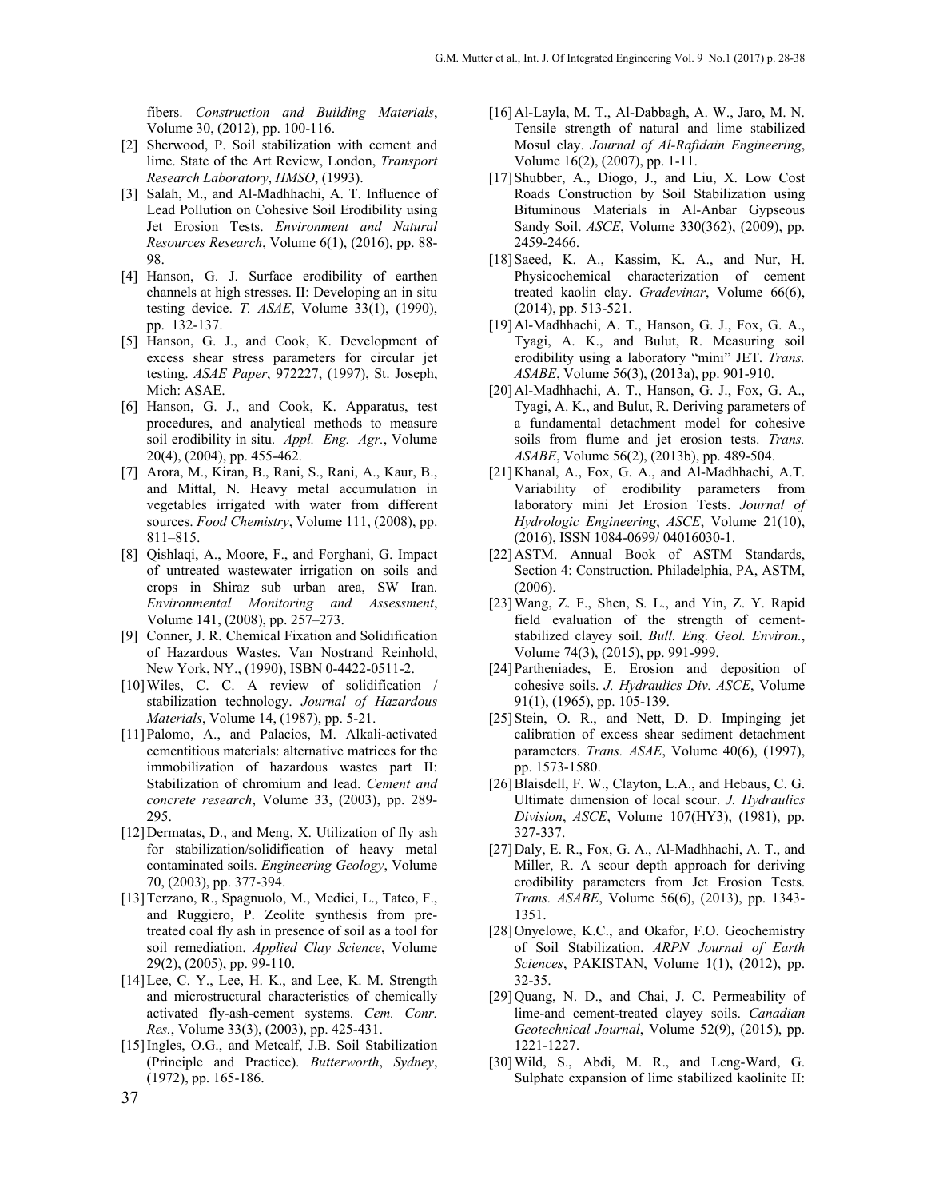fibers. *Construction and Building Materials*, Volume 30, (2012), pp. 100-116.

- [2] Sherwood, P. Soil stabilization with cement and lime. State of the Art Review, London, *Transport Research Laboratory*, *HMSO*, (1993).
- [3] Salah, M., and Al-Madhhachi, A. T. Influence of Lead Pollution on Cohesive Soil Erodibility using Jet Erosion Tests. *Environment and Natural Resources Research*, Volume 6(1), (2016), pp. 88- 98.
- [4] Hanson, G. J. Surface erodibility of earthen channels at high stresses. II: Developing an in situ testing device. *T. ASAE*, Volume 33(1), (1990), pp. 132-137.
- [5] Hanson, G. J., and Cook, K. Development of excess shear stress parameters for circular jet testing. *ASAE Paper*, 972227, (1997), St. Joseph, Mich: ASAE.
- [6] Hanson, G. J., and Cook, K. Apparatus, test procedures, and analytical methods to measure soil erodibility in situ. *Appl. Eng. Agr.*, Volume 20(4), (2004), pp. 455-462.
- [7] Arora, M., Kiran, B., Rani, S., Rani, A., Kaur, B., and Mittal, N. Heavy metal accumulation in vegetables irrigated with water from different sources. *Food Chemistry*, Volume 111, (2008), pp. 811–815.
- [8] Qishlaqi, A., Moore, F., and Forghani, G. Impact of untreated wastewater irrigation on soils and crops in Shiraz sub urban area, SW Iran. *Environmental Monitoring and Assessment*, Volume 141, (2008), pp. 257–273.
- [9] Conner, J. R. Chemical Fixation and Solidification of Hazardous Wastes. Van Nostrand Reinhold, New York, NY., (1990), ISBN 0-4422-0511-2.
- [10] Wiles, C. C. A review of solidification / stabilization technology. *Journal of Hazardous Materials*, Volume 14, (1987), pp. 5-21.
- [11]Palomo, A., and Palacios, M. Alkali-activated cementitious materials: alternative matrices for the immobilization of hazardous wastes part II: Stabilization of chromium and lead. *Cement and concrete research*, Volume 33, (2003), pp. 289- 295.
- [12]Dermatas, D., and Meng, X. Utilization of fly ash for stabilization/solidification of heavy metal contaminated soils. *Engineering Geology*, Volume 70, (2003), pp. 377-394.
- [13]Terzano, R., Spagnuolo, M., Medici, L., Tateo, F., and Ruggiero, P. Zeolite synthesis from pretreated coal fly ash in presence of soil as a tool for soil remediation. *Applied Clay Science*, Volume 29(2), (2005), pp. 99-110.
- [14] Lee, C. Y., Lee, H. K., and Lee, K. M. Strength and microstructural characteristics of chemically activated fly-ash-cement systems. *Cem. Conr. Res.*, Volume 33(3), (2003), pp. 425-431.
- [15]Ingles, O.G., and Metcalf, J.B. Soil Stabilization (Principle and Practice). *Butterworth*, *Sydney*, (1972), pp. 165-186.
- [16]Al-Layla, M. T., Al-Dabbagh, A. W., Jaro, M. N. Tensile strength of natural and lime stabilized Mosul clay. *Journal of Al-Rafidain Engineering*, Volume 16(2), (2007), pp. 1-11.
- [17]Shubber, A., Diogo, J., and Liu, X. Low Cost Roads Construction by Soil Stabilization using Bituminous Materials in Al-Anbar Gypseous Sandy Soil. *ASCE*, Volume 330(362), (2009), pp. 2459-2466.
- [18] Saeed, K. A., Kassim, K. A., and Nur, H. Physicochemical characterization of cement treated kaolin clay. *Građevinar*, Volume 66(6), (2014), pp. 513-521.
- [19]Al-Madhhachi, A. T., Hanson, G. J., Fox, G. A., Tyagi, A. K., and Bulut, R. Measuring soil erodibility using a laboratory "mini" JET. *Trans. ASABE*, Volume 56(3), (2013a), pp. 901-910.
- [20]Al-Madhhachi, A. T., Hanson, G. J., Fox, G. A., Tyagi, A. K., and Bulut, R. Deriving parameters of a fundamental detachment model for cohesive soils from flume and jet erosion tests. *Trans. ASABE*, Volume 56(2), (2013b), pp. 489-504.
- [21]Khanal, A., Fox, G. A., and Al-Madhhachi, A.T. Variability of erodibility parameters from laboratory mini Jet Erosion Tests. *Journal of Hydrologic Engineering*, *ASCE*, Volume 21(10), (2016), ISSN 1084-0699/ 04016030-1.
- [22]ASTM. Annual Book of ASTM Standards, Section 4: Construction. Philadelphia, PA, ASTM, (2006).
- [23]Wang, Z. F., Shen, S. L., and Yin, Z. Y. Rapid field evaluation of the strength of cementstabilized clayey soil. *Bull. Eng. Geol. Environ.*, Volume 74(3), (2015), pp. 991-999.
- [24]Partheniades, E. Erosion and deposition of cohesive soils. *J. Hydraulics Div. ASCE*, Volume 91(1), (1965), pp. 105-139.
- [25]Stein, O. R., and Nett, D. D. Impinging jet calibration of excess shear sediment detachment parameters. *Trans. ASAE*, Volume 40(6), (1997), pp. 1573-1580.
- [26] Blaisdell, F. W., Clayton, L.A., and Hebaus, C. G. Ultimate dimension of local scour. *J. Hydraulics Division*, *ASCE*, Volume 107(HY3), (1981), pp. 327-337.
- [27]Daly, E. R., Fox, G. A., Al-Madhhachi, A. T., and Miller, R. A scour depth approach for deriving erodibility parameters from Jet Erosion Tests. *Trans. ASABE*, Volume 56(6), (2013), pp. 1343- 1351.
- [28] Onyelowe, K.C., and Okafor, F.O. Geochemistry of Soil Stabilization. *ARPN Journal of Earth Sciences*, PAKISTAN, Volume 1(1), (2012), pp. 32-35.
- [29]Quang, N. D., and Chai, J. C. Permeability of lime-and cement-treated clayey soils. *Canadian Geotechnical Journal*, Volume 52(9), (2015), pp. 1221-1227.
- [30] Wild, S., Abdi, M. R., and Leng-Ward, G. Sulphate expansion of lime stabilized kaolinite II: